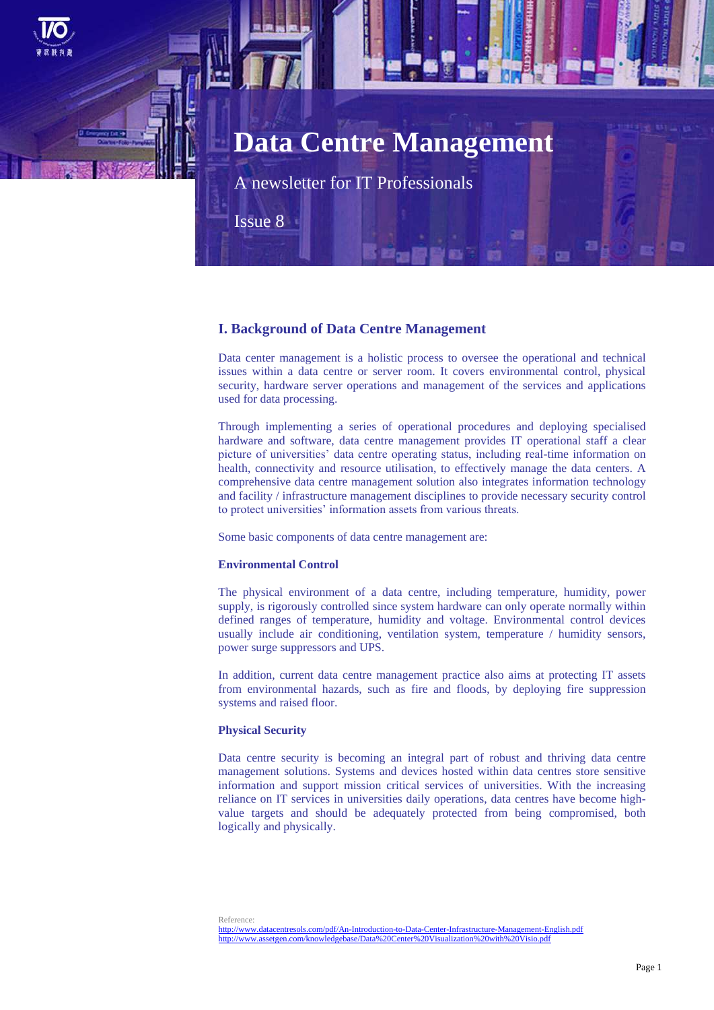

A newsletter for IT Professionals

Issue 8

## **I. Background of Data Centre Management**

Data center management is a holistic process to oversee the operational and technical issues within a data centre or server room. It covers environmental control, physical security, hardware server operations and management of the services and applications used for data processing.

Through implementing a series of operational procedures and deploying specialised hardware and software, data centre management provides IT operational staff a clear picture of universities' data centre operating status, including real-time information on health, connectivity and resource utilisation, to effectively manage the data centers. A comprehensive data centre management solution also integrates information technology and facility / infrastructure management disciplines to provide necessary security control to protect universities' information assets from various threats.

Some basic components of data centre management are:

### **Environmental Control**

The physical environment of a data centre, including temperature, humidity, power supply, is rigorously controlled since system hardware can only operate normally within defined ranges of temperature, humidity and voltage. Environmental control devices usually include air conditioning, ventilation system, temperature / humidity sensors, power surge suppressors and UPS.

In addition, current data centre management practice also aims at protecting IT assets from environmental hazards, such as fire and floods, by deploying fire suppression systems and raised floor.

### **Physical Security**

Data centre security is becoming an integral part of robust and thriving data centre management solutions. Systems and devices hosted within data centres store sensitive information and support mission critical services of universities. With the increasing reliance on IT services in universities daily operations, data centres have become highvalue targets and should be adequately protected from being compromised, both logically and physically.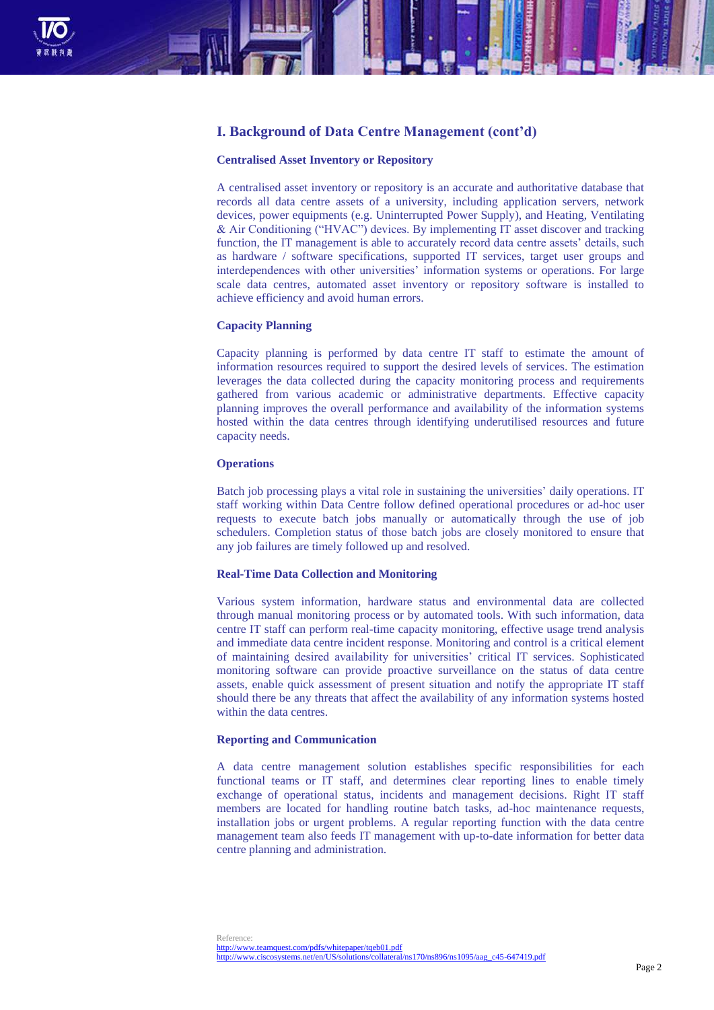

## **I. Background of Data Centre Management (cont'd)**

#### **Centralised Asset Inventory or Repository**

A centralised asset inventory or repository is an accurate and authoritative database that records all data centre assets of a university, including application servers, network devices, power equipments (e.g. Uninterrupted Power Supply), and Heating, Ventilating & Air Conditioning ("HVAC") devices. By implementing IT asset discover and tracking function, the IT management is able to accurately record data centre assets' details, such as hardware / software specifications, supported IT services, target user groups and interdependences with other universities' information systems or operations. For large scale data centres, automated asset inventory or repository software is installed to achieve efficiency and avoid human errors.

#### **Capacity Planning**

Capacity planning is performed by data centre IT staff to estimate the amount of information resources required to support the desired levels of services. The estimation leverages the data collected during the capacity monitoring process and requirements gathered from various academic or administrative departments. Effective capacity planning improves the overall performance and availability of the information systems hosted within the data centres through identifying underutilised resources and future capacity needs.

#### **Operations**

Batch job processing plays a vital role in sustaining the universities' daily operations. IT staff working within Data Centre follow defined operational procedures or ad-hoc user requests to execute batch jobs manually or automatically through the use of job schedulers. Completion status of those batch jobs are closely monitored to ensure that any job failures are timely followed up and resolved.

#### **Real-Time Data Collection and Monitoring**

Various system information, hardware status and environmental data are collected through manual monitoring process or by automated tools. With such information, data centre IT staff can perform real-time capacity monitoring, effective usage trend analysis and immediate data centre incident response. Monitoring and control is a critical element of maintaining desired availability for universities' critical IT services. Sophisticated monitoring software can provide proactive surveillance on the status of data centre assets, enable quick assessment of present situation and notify the appropriate IT staff should there be any threats that affect the availability of any information systems hosted within the data centres.

#### **Reporting and Communication**

A data centre management solution establishes specific responsibilities for each functional teams or IT staff, and determines clear reporting lines to enable timely exchange of operational status, incidents and management decisions. Right IT staff members are located for handling routine batch tasks, ad-hoc maintenance requests, installation jobs or urgent problems. A regular reporting function with the data centre management team also feeds IT management with up-to-date information for better data centre planning and administration.

<http://www.teamquest.com/pdfs/whitepaper/tqeb01.pdf> [http://www.ciscosystems.net/en/US/solutions/collateral/ns170/ns896/ns1095/aag\\_c45-647419.pdf](http://www.ciscosystems.net/en/US/solutions/collateral/ns170/ns896/ns1095/aag_c45-647419.pdf)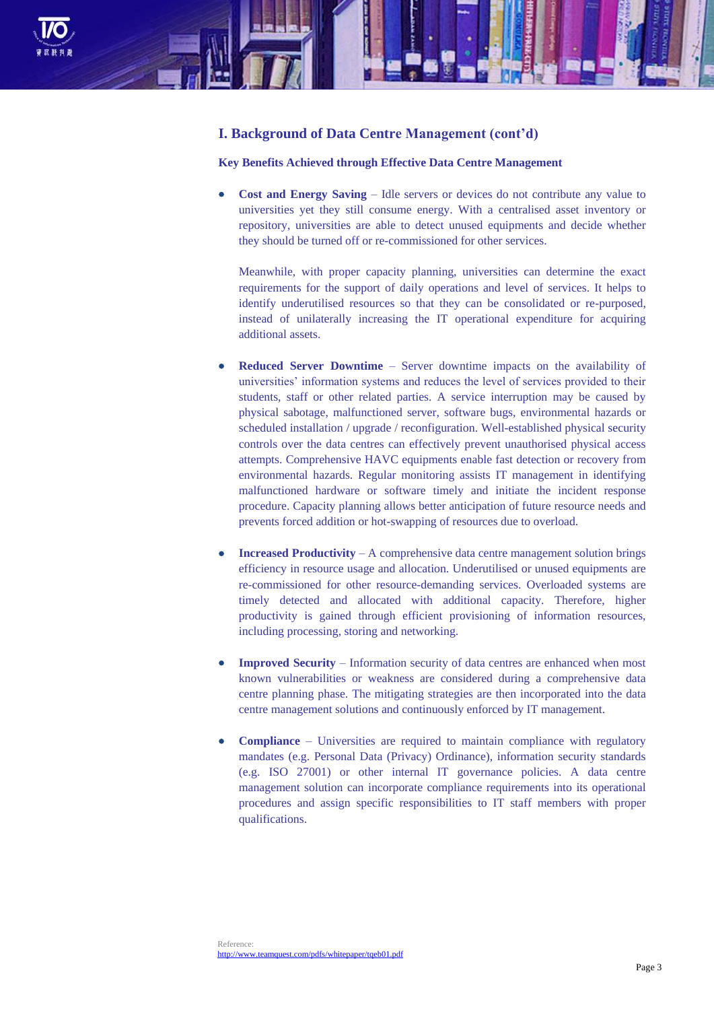

## **I. Background of Data Centre Management (cont'd)**

### **Key Benefits Achieved through Effective Data Centre Management**

 **Cost and Energy Saving** – Idle servers or devices do not contribute any value to universities yet they still consume energy. With a centralised asset inventory or repository, universities are able to detect unused equipments and decide whether they should be turned off or re-commissioned for other services.

Meanwhile, with proper capacity planning, universities can determine the exact requirements for the support of daily operations and level of services. It helps to identify underutilised resources so that they can be consolidated or re-purposed, instead of unilaterally increasing the IT operational expenditure for acquiring additional assets.

- **Reduced Server Downtime** Server downtime impacts on the availability of universities' information systems and reduces the level of services provided to their students, staff or other related parties. A service interruption may be caused by physical sabotage, malfunctioned server, software bugs, environmental hazards or scheduled installation / upgrade / reconfiguration. Well-established physical security controls over the data centres can effectively prevent unauthorised physical access attempts. Comprehensive HAVC equipments enable fast detection or recovery from environmental hazards. Regular monitoring assists IT management in identifying malfunctioned hardware or software timely and initiate the incident response procedure. Capacity planning allows better anticipation of future resource needs and prevents forced addition or hot-swapping of resources due to overload.
- **Increased Productivity**  A comprehensive data centre management solution brings efficiency in resource usage and allocation. Underutilised or unused equipments are re-commissioned for other resource-demanding services. Overloaded systems are timely detected and allocated with additional capacity. Therefore, higher productivity is gained through efficient provisioning of information resources, including processing, storing and networking.
- **Improved Security**  Information security of data centres are enhanced when most known vulnerabilities or weakness are considered during a comprehensive data centre planning phase. The mitigating strategies are then incorporated into the data centre management solutions and continuously enforced by IT management.
- **Compliance**  Universities are required to maintain compliance with regulatory mandates (e.g. Personal Data (Privacy) Ordinance), information security standards (e.g. ISO 27001) or other internal IT governance policies. A data centre management solution can incorporate compliance requirements into its operational procedures and assign specific responsibilities to IT staff members with proper qualifications.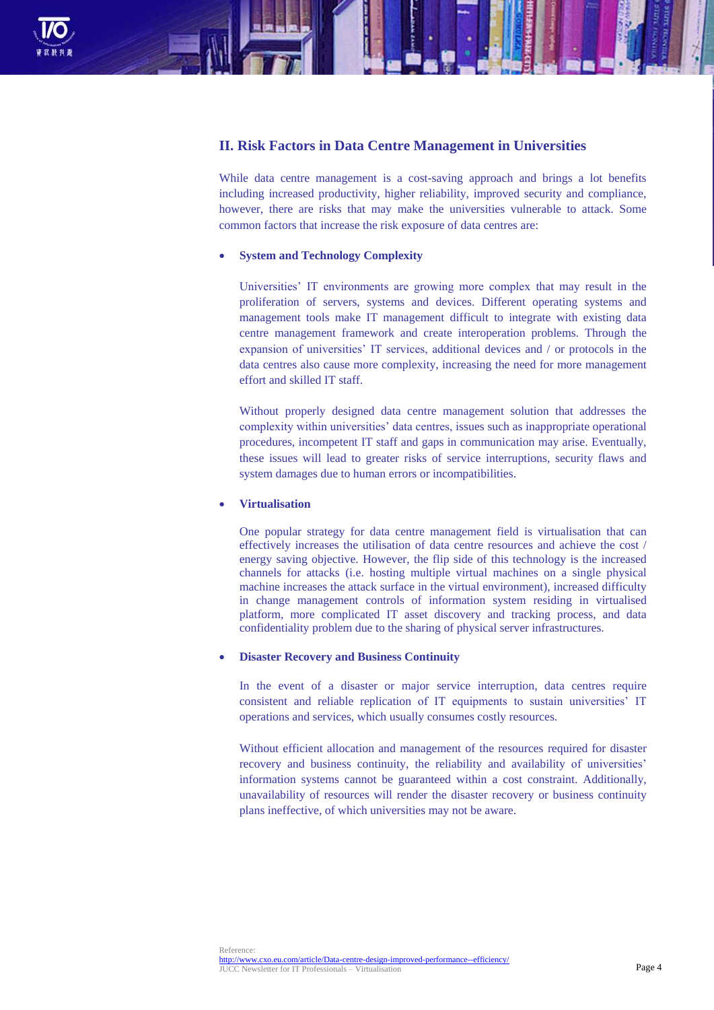

## **II. Risk Factors in Data Centre Management in Universities**

While data centre management is a cost-saving approach and brings a lot benefits including increased productivity, higher reliability, improved security and compliance, however, there are risks that may make the universities vulnerable to attack. Some common factors that increase the risk exposure of data centres are:

### **System and Technology Complexity**

Universities' IT environments are growing more complex that may result in the proliferation of servers, systems and devices. Different operating systems and management tools make IT management difficult to integrate with existing data centre management framework and create interoperation problems. Through the expansion of universities' IT services, additional devices and / or protocols in the data centres also cause more complexity, increasing the need for more management effort and skilled IT staff.

Without properly designed data centre management solution that addresses the complexity within universities' data centres, issues such as inappropriate operational procedures, incompetent IT staff and gaps in communication may arise. Eventually, these issues will lead to greater risks of service interruptions, security flaws and system damages due to human errors or incompatibilities.

### **Virtualisation**

One popular strategy for data centre management field is virtualisation that can effectively increases the utilisation of data centre resources and achieve the cost / energy saving objective. However, the flip side of this technology is the increased channels for attacks (i.e. hosting multiple virtual machines on a single physical machine increases the attack surface in the virtual environment), increased difficulty in change management controls of information system residing in virtualised platform, more complicated IT asset discovery and tracking process, and data confidentiality problem due to the sharing of physical server infrastructures.

#### **Disaster Recovery and Business Continuity**

In the event of a disaster or major service interruption, data centres require consistent and reliable replication of IT equipments to sustain universities' IT operations and services, which usually consumes costly resources.

Without efficient allocation and management of the resources required for disaster recovery and business continuity, the reliability and availability of universities' information systems cannot be guaranteed within a cost constraint. Additionally, unavailability of resources will render the disaster recovery or business continuity plans ineffective, of which universities may not be aware.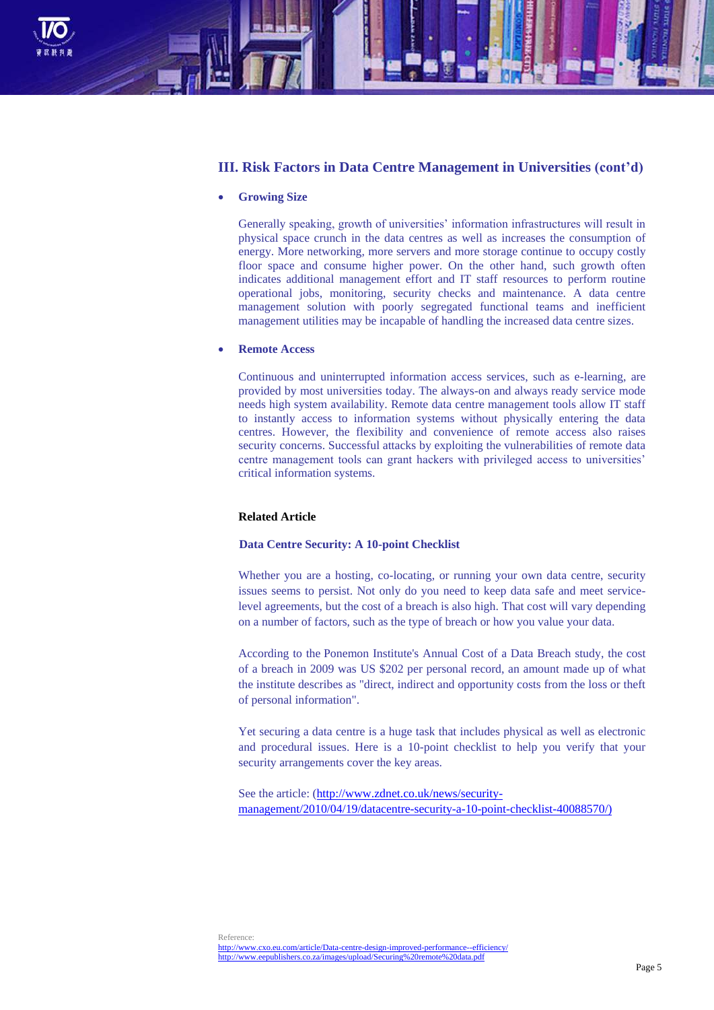

## **III. Risk Factors in Data Centre Management in Universities (cont'd)**

#### **Growing Size**

Generally speaking, growth of universities' information infrastructures will result in physical space crunch in the data centres as well as increases the consumption of energy. More networking, more servers and more storage continue to occupy costly floor space and consume higher power. On the other hand, such growth often indicates additional management effort and IT staff resources to perform routine operational jobs, monitoring, security checks and maintenance. A data centre management solution with poorly segregated functional teams and inefficient management utilities may be incapable of handling the increased data centre sizes.

#### **Remote Access**

Continuous and uninterrupted information access services, such as e-learning, are provided by most universities today. The always-on and always ready service mode needs high system availability. Remote data centre management tools allow IT staff to instantly access to information systems without physically entering the data centres. However, the flexibility and convenience of remote access also raises security concerns. Successful attacks by exploiting the vulnerabilities of remote data centre management tools can grant hackers with privileged access to universities' critical information systems.

## **Related Article**

#### **Data Centre Security: A 10-point Checklist**

Whether you are a hosting, co-locating, or running your own data centre, security issues seems to persist. Not only do you need to keep data safe and meet servicelevel agreements, but the cost of a breach is also high. That cost will vary depending on a number of factors, such as the type of breach or how you value your data.

According to the [Ponemon Institute's Annual Cost of a Data Breach study,](http://www.ponemon.org/data-security) the cost of a breach in 2009 was US \$202 per personal record, an amount made up of what the institute describes as "direct, indirect and opportunity costs from the loss or theft of personal information".

Yet securing a data centre is a huge task that includes physical as well as electronic and procedural issues. Here is a 10-point checklist to help you verify that your security arrangements cover the key areas.

See the article: [\(http://www.zdnet.co.uk/news/security](http://www.zdnet.co.uk/news/security-management/2010/04/19/datacentre-security-a-10-point-checklist-40088570/))[management/2010/04/19/datacentre-security-a-10-point-checklist-40088570/\)](http://www.zdnet.co.uk/news/security-management/2010/04/19/datacentre-security-a-10-point-checklist-40088570/))

Reference: <http://www.cxo.eu.com/article/Data-centre-design-improved-performance--efficiency/> <http://www.eepublishers.co.za/images/upload/Securing%20remote%20data.pdf>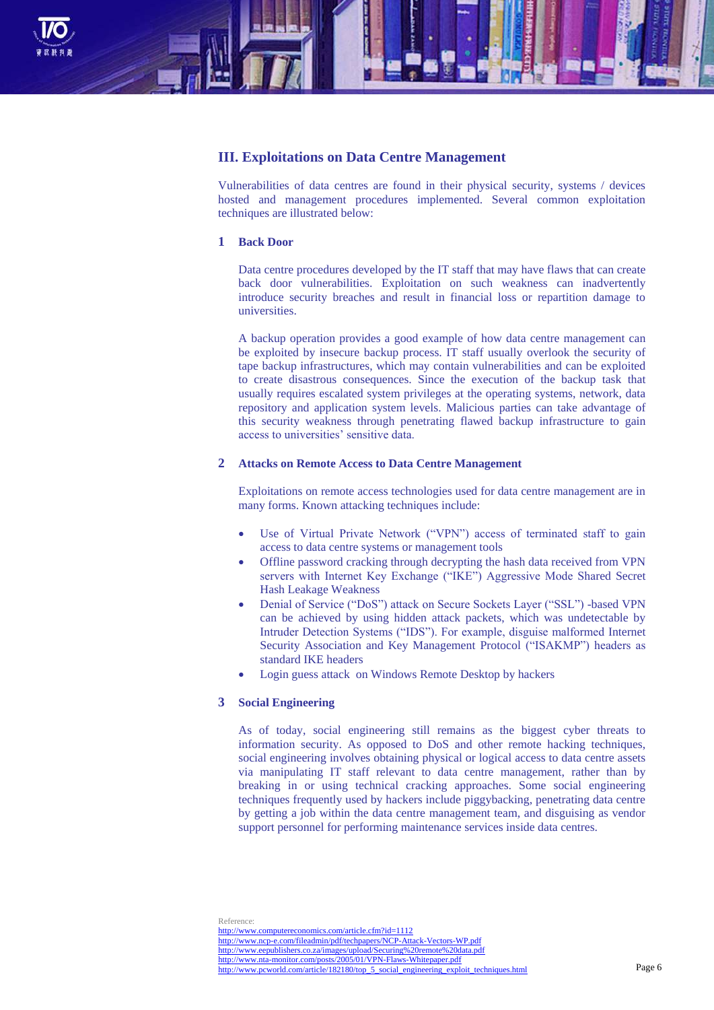

## **III. Exploitations on Data Centre Management**

Vulnerabilities of data centres are found in their physical security, systems / devices hosted and management procedures implemented. Several common exploitation techniques are illustrated below:

### **1 Back Door**

Data centre procedures developed by the IT staff that may have flaws that can create back door vulnerabilities. Exploitation on such weakness can inadvertently introduce security breaches and result in financial loss or repartition damage to universities.

A backup operation provides a good example of how data centre management can be exploited by insecure backup process. IT staff usually overlook the security of tape backup infrastructures, which may contain vulnerabilities and can be exploited to create disastrous consequences. Since the execution of the backup task that usually requires escalated system privileges at the operating systems, network, data repository and application system levels. Malicious parties can take advantage of this security weakness through penetrating flawed backup infrastructure to gain access to universities' sensitive data.

#### **2 Attacks on Remote Access to Data Centre Management**

Exploitations on remote access technologies used for data centre management are in many forms. Known attacking techniques include:

- Use of Virtual Private Network ("VPN") access of terminated staff to gain access to data centre systems or management tools
- Offline password cracking through decrypting the hash data received from VPN servers with Internet Key Exchange ("IKE") Aggressive Mode Shared Secret Hash Leakage Weakness
- Denial of Service ("DoS") attack on Secure Sockets Layer ("SSL") -based VPN can be achieved by using hidden attack packets, which was undetectable by Intruder Detection Systems ("IDS"). For example, disguise malformed Internet Security Association and Key Management Protocol ("ISAKMP") headers as standard IKE headers
- Login guess attack on Windows Remote Desktop by hackers

#### **3 Social Engineering**

As of today, social engineering still remains as the biggest cyber threats to information security. As opposed to DoS and other remote hacking techniques, social engineering involves obtaining physical or logical access to data centre assets via manipulating IT staff relevant to data centre management, rather than by breaking in or using technical cracking approaches. Some social engineering techniques frequently used by hackers include piggybacking, penetrating data centre by getting a job within the data centre management team, and disguising as vendor support personnel for performing maintenance services inside data centres.

Reference: <http://www.computereconomics.com/article.cfm?id=1112> <http://www.ncp-e.com/fileadmin/pdf/techpapers/NCP-Attack-Vectors-WP.pdf> <http://www.eepublishers.co.za/images/upload/Securing%20remote%20data.pdf> <http://www.nta-monitor.com/posts/2005/01/VPN-Flaws-Whitepaper.pdf> [http://www.pcworld.com/article/182180/top\\_5\\_social\\_engineering\\_exploit\\_techniques.html](http://www.pcworld.com/article/182180/top_5_social_engineering_exploit_techniques.html)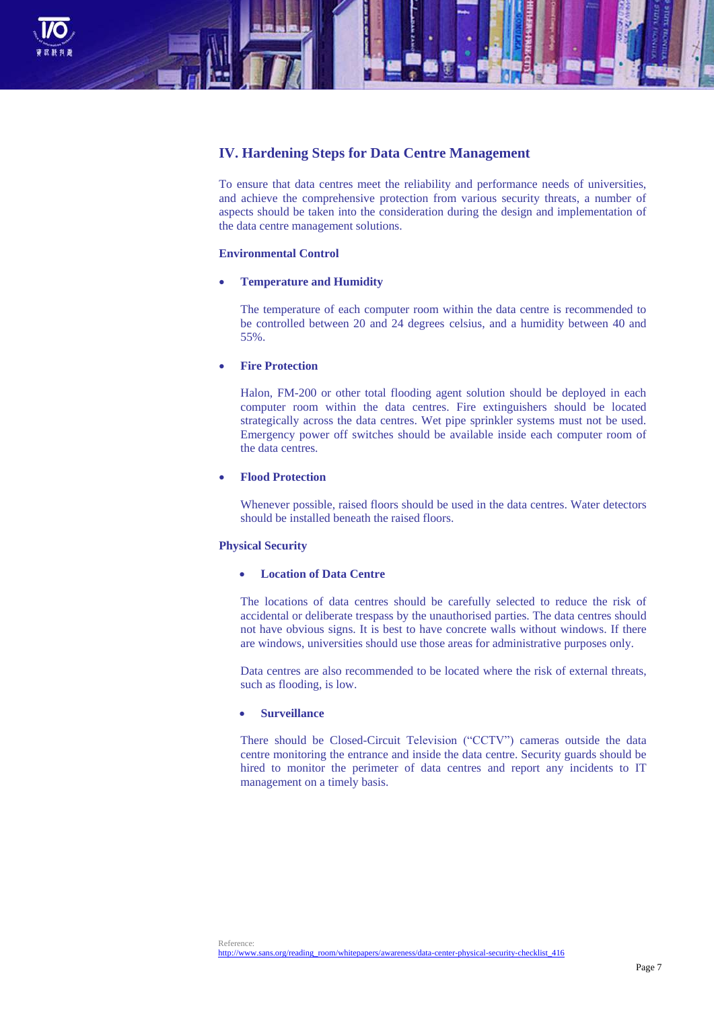

# **IV. Hardening Steps for Data Centre Management**

To ensure that data centres meet the reliability and performance needs of universities, and achieve the comprehensive protection from various security threats, a number of aspects should be taken into the consideration during the design and implementation of the data centre management solutions.

### **Environmental Control**

#### **Temperature and Humidity**

The temperature of each computer room within the data centre is recommended to be controlled between 20 and 24 degrees celsius, and a humidity between 40 and 55%.

### **Fire Protection**

Halon, FM-200 or other total flooding agent solution should be deployed in each computer room within the data centres. Fire extinguishers should be located strategically across the data centres. Wet pipe sprinkler systems must not be used. Emergency power off switches should be available inside each computer room of the data centres.

#### **Flood Protection**

Whenever possible, raised floors should be used in the data centres. Water detectors should be installed beneath the raised floors.

### **Physical Security**

### **Location of Data Centre**

The locations of data centres should be carefully selected to reduce the risk of accidental or deliberate trespass by the unauthorised parties. The data centres should not have obvious signs. It is best to have concrete walls without windows. If there are windows, universities should use those areas for administrative purposes only.

Data centres are also recommended to be located where the risk of external threats, such as flooding, is low.

### **Surveillance**

There should be Closed-Circuit Television ("CCTV") cameras outside the data centre monitoring the entrance and inside the data centre. Security guards should be hired to monitor the perimeter of data centres and report any incidents to IT management on a timely basis.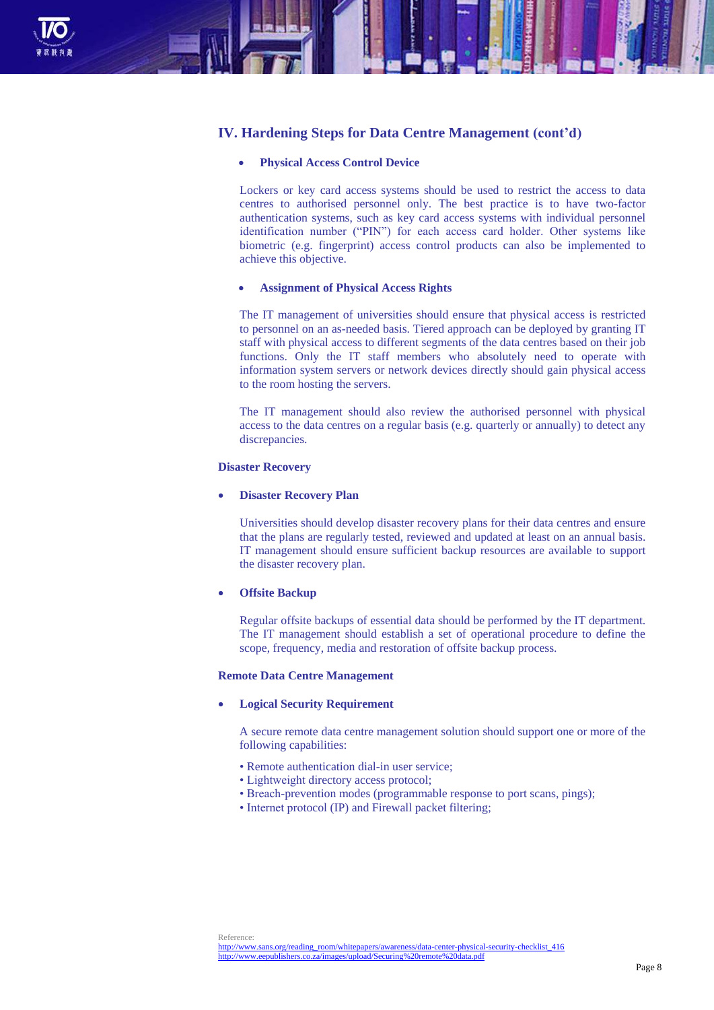

## **IV. Hardening Steps for Data Centre Management (cont'd)**

### **Physical Access Control Device**

Lockers or key card access systems should be used to restrict the access to data centres to authorised personnel only. The best practice is to have two-factor authentication systems, such as key card access systems with individual personnel identification number ("PIN") for each access card holder. Other systems like biometric (e.g. fingerprint) access control products can also be implemented to achieve this objective.

### **Assignment of Physical Access Rights**

The IT management of universities should ensure that physical access is restricted to personnel on an as-needed basis. Tiered approach can be deployed by granting IT staff with physical access to different segments of the data centres based on their job functions. Only the IT staff members who absolutely need to operate with information system servers or network devices directly should gain physical access to the room hosting the servers.

The IT management should also review the authorised personnel with physical access to the data centres on a regular basis (e.g. quarterly or annually) to detect any discrepancies.

#### **Disaster Recovery**

#### **Disaster Recovery Plan**

Universities should develop disaster recovery plans for their data centres and ensure that the plans are regularly tested, reviewed and updated at least on an annual basis. IT management should ensure sufficient backup resources are available to support the disaster recovery plan.

#### **Offsite Backup**

Regular offsite backups of essential data should be performed by the IT department. The IT management should establish a set of operational procedure to define the scope, frequency, media and restoration of offsite backup process.

#### **Remote Data Centre Management**

#### **Logical Security Requirement**

A secure remote data centre management solution should support one or more of the following capabilities:

- Remote authentication dial-in user service;
- Lightweight directory access protocol;
- Breach-prevention modes (programmable response to port scans, pings);
- Internet protocol (IP) and Firewall packet filtering;

[http://www.sans.org/reading\\_room/whitepapers/awareness/data-center-physical-security-checklist\\_416](http://www.sans.org/reading_room/whitepapers/awareness/data-center-physical-security-checklist_416) <http://www.eepublishers.co.za/images/upload/Securing%20remote%20data.pdf>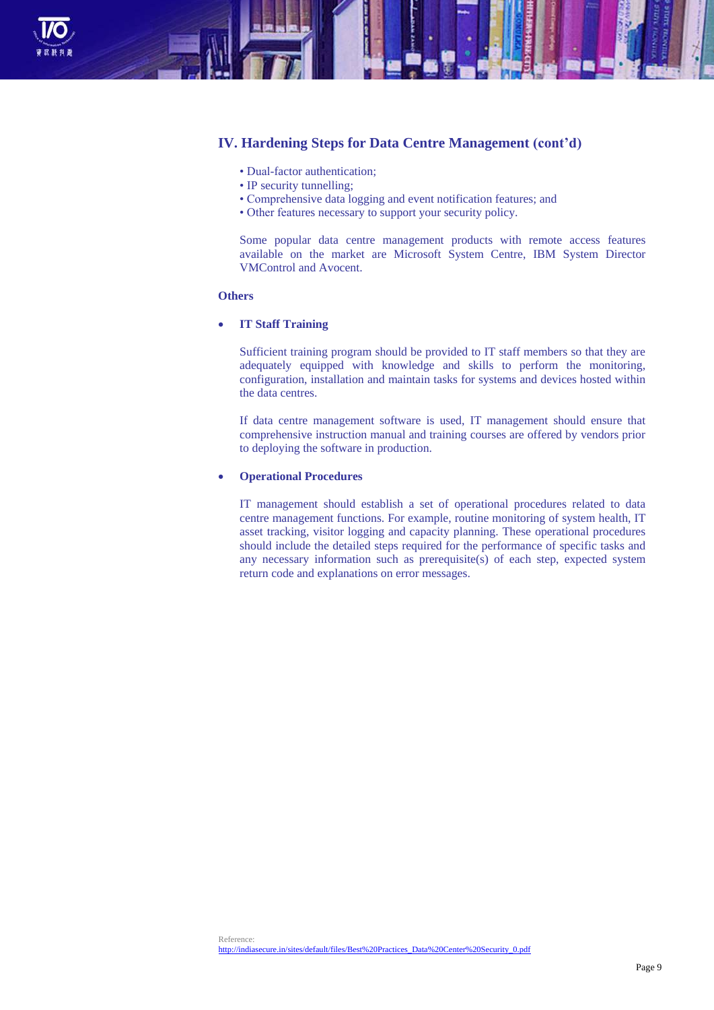

## **IV. Hardening Steps for Data Centre Management (cont'd)**

- Dual-factor authentication;
- IP security tunnelling:
- Comprehensive data logging and event notification features; and
- Other features necessary to support your security policy.

Some popular data centre management products with remote access features available on the market are Microsoft System Centre, IBM System Director VMControl and Avocent.

### **Others**

### **IT Staff Training**

Sufficient training program should be provided to IT staff members so that they are adequately equipped with knowledge and skills to perform the monitoring, configuration, installation and maintain tasks for systems and devices hosted within the data centres.

If data centre management software is used, IT management should ensure that comprehensive instruction manual and training courses are offered by vendors prior to deploying the software in production.

#### **Operational Procedures**

IT management should establish a set of operational procedures related to data centre management functions. For example, routine monitoring of system health, IT asset tracking, visitor logging and capacity planning. These operational procedures should include the detailed steps required for the performance of specific tasks and any necessary information such as prerequisite(s) of each step, expected system return code and explanations on error messages.